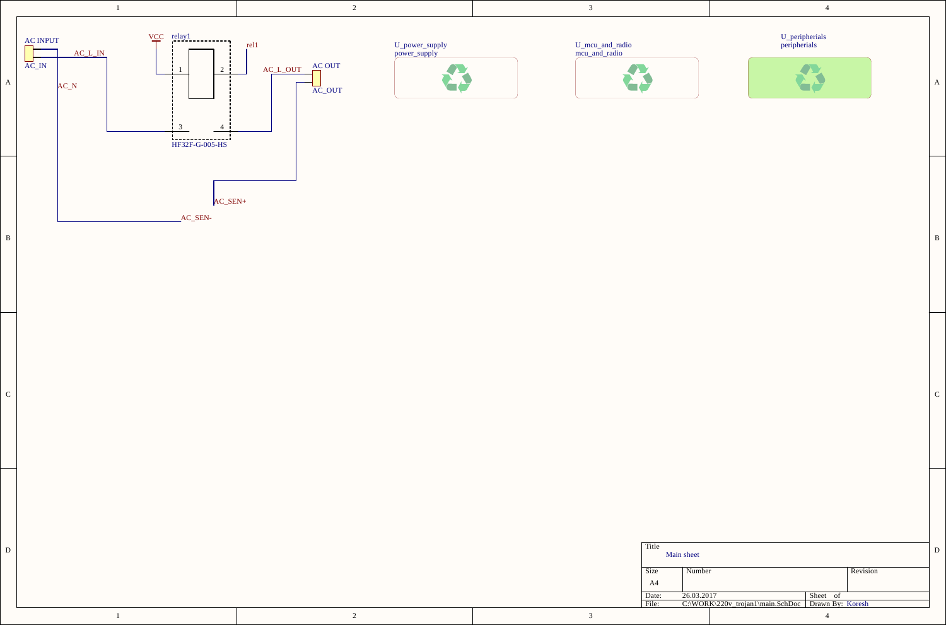

|  |  |  | Title<br>Main sheet |       |                                                   |          |          |  |
|--|--|--|---------------------|-------|---------------------------------------------------|----------|----------|--|
|  |  |  |                     | Size  | Number                                            |          | Revision |  |
|  |  |  |                     | A4    |                                                   |          |          |  |
|  |  |  |                     | Date: | 26.03.2017                                        | Sheet of |          |  |
|  |  |  |                     | File: | C:\WORK\220v_trojan1\main.SchDoc Drawn By: Koresh |          |          |  |
|  |  |  |                     |       |                                                   |          |          |  |

 $\overline{c}$  |  $\overline{c}$  |  $\overline{c}$  |  $\overline{c}$  |  $\overline{c}$  |  $\overline{c}$  |  $\overline{c}$  |  $\overline{c}$  |  $\overline{c}$  |  $\overline{c}$  |  $\overline{c}$  |  $\overline{c}$  |  $\overline{c}$  |  $\overline{c}$  |  $\overline{c}$  |  $\overline{c}$  |  $\overline{c}$  |  $\overline{c}$  |  $\overline{c}$  |  $\overline{c}$  |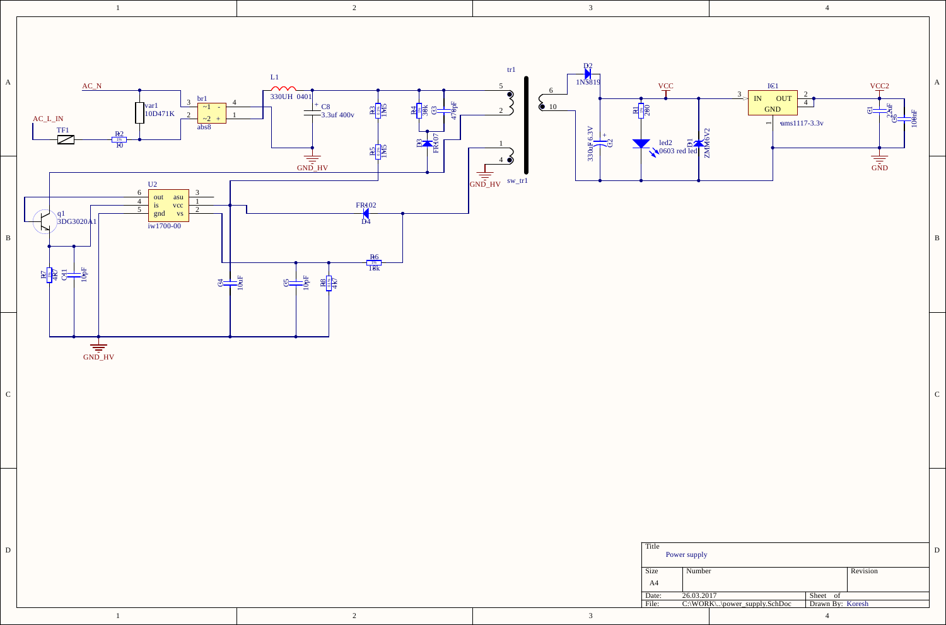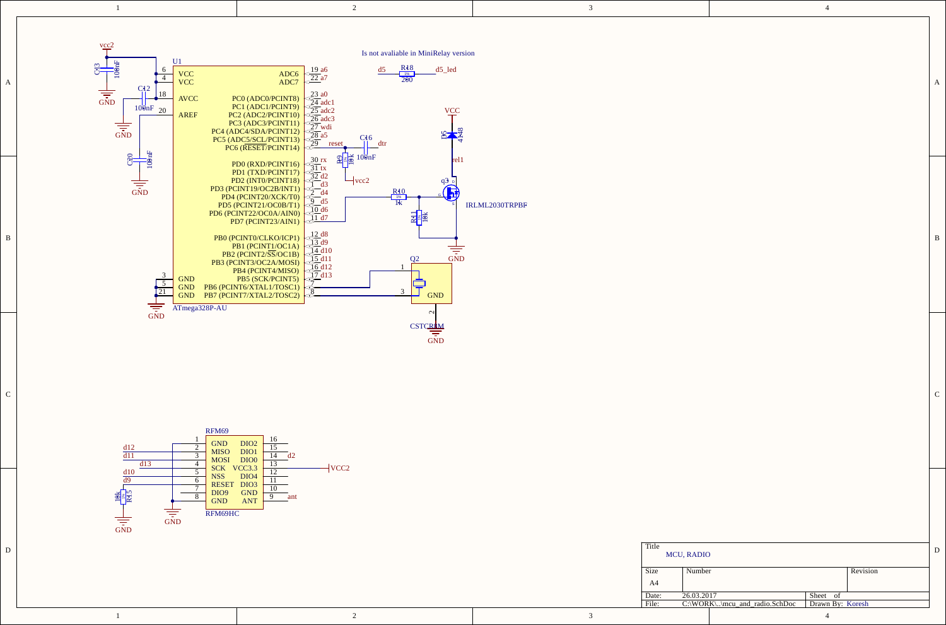|  | ,他们的人都不能在这里,他们的人都不能在这里,他们的人都不能在这里,他们的人都不能在这里,他们的人都不能在这里,他们的人都不能在这里,他们的人都不能在这里,他们 |  |
|--|----------------------------------------------------------------------------------|--|
|  |                                                                                  |  |



2



1

|  |  | Title<br><b>MCU, RADIO</b>   |                                                |       |          |  |
|--|--|------------------------------|------------------------------------------------|-------|----------|--|
|  |  | Number<br>Size<br>A4         |                                                |       | Revision |  |
|  |  | 26.03.2017<br>Date:<br>File: | C:\WORK\\mcu_and_radio.SchDoc Drawn By: Koresh | Sheet |          |  |
|  |  |                              |                                                |       |          |  |

| I |  |  |  |
|---|--|--|--|
|   |  |  |  |
|   |  |  |  |
|   |  |  |  |
|   |  |  |  |
|   |  |  |  |
|   |  |  |  |

 $\overline{c}$  |  $\overline{c}$  |  $\overline{c}$  |  $\overline{c}$  |  $\overline{c}$  |  $\overline{c}$  |  $\overline{c}$  |  $\overline{c}$  |  $\overline{c}$  |  $\overline{c}$  |  $\overline{c}$  |  $\overline{c}$  |  $\overline{c}$  |  $\overline{c}$  |  $\overline{c}$  |  $\overline{c}$  |  $\overline{c}$  |  $\overline{c}$  |  $\overline{c}$  |  $\overline{c}$  |

3